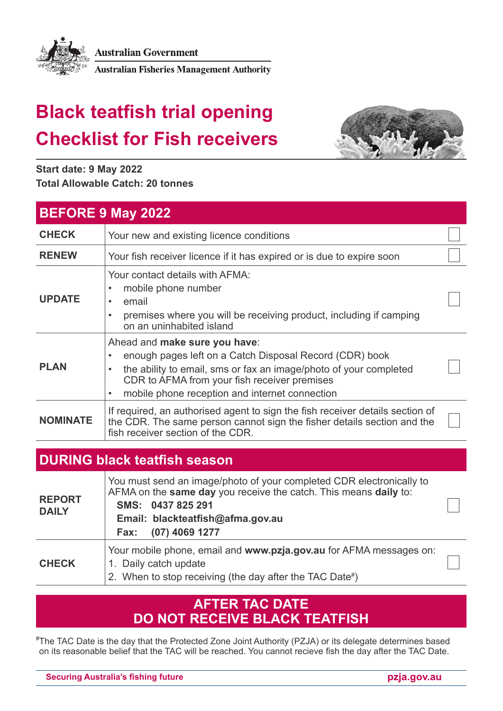

**Australian Government** 

**Australian Fisheries Management Authority** 

# **Black teatfish trial opening Checklist for Fish receivers**



**Start date: 9 May 2022 Total Allowable Catch: 20 tonnes**

| <b>BEFORE 9 May 2022</b>            |                                                                                                                                                                                                                                                                 |  |
|-------------------------------------|-----------------------------------------------------------------------------------------------------------------------------------------------------------------------------------------------------------------------------------------------------------------|--|
| <b>CHECK</b>                        | Your new and existing licence conditions                                                                                                                                                                                                                        |  |
| <b>RENEW</b>                        | Your fish receiver licence if it has expired or is due to expire soon                                                                                                                                                                                           |  |
| <b>UPDATE</b>                       | Your contact details with AFMA:<br>mobile phone number<br>email<br>$\bullet$<br>premises where you will be receiving product, including if camping<br>on an uninhabited island                                                                                  |  |
| <b>PLAN</b>                         | Ahead and make sure you have:<br>enough pages left on a Catch Disposal Record (CDR) book<br>the ability to email, sms or fax an image/photo of your completed<br>CDR to AFMA from your fish receiver premises<br>mobile phone reception and internet connection |  |
| <b>NOMINATE</b>                     | If required, an authorised agent to sign the fish receiver details section of<br>the CDR. The same person cannot sign the fisher details section and the<br>fish receiver section of the CDR.                                                                   |  |
| <b>DURING black teatfish season</b> |                                                                                                                                                                                                                                                                 |  |
| <b>REPORT</b><br><b>DAILY</b>       | You must send an image/photo of your completed CDR electronically to<br>AFMA on the same day you receive the catch. This means daily to:<br>SMS: 0437 825 291<br>Email: blackteatfish@afma.gov.au<br>(07) 4069 1277<br>Fax:                                     |  |
| <b>CHECK</b>                        | Your mobile phone, email and www.pzja.gov.au for AFMA messages on:<br>1. Daily catch update                                                                                                                                                                     |  |

2. When to stop receiving (the day after the TAC Date#)

#### **AFTER TAC DATE DO NOT RECEIVE BLACK TEATFISH**

# The TAC Date is the day that the Protected Zone Joint Authority (PZJA) or its delegate determines based on its reasonable belief that the TAC will be reached. You cannot recieve fish the day after the TAC Date.